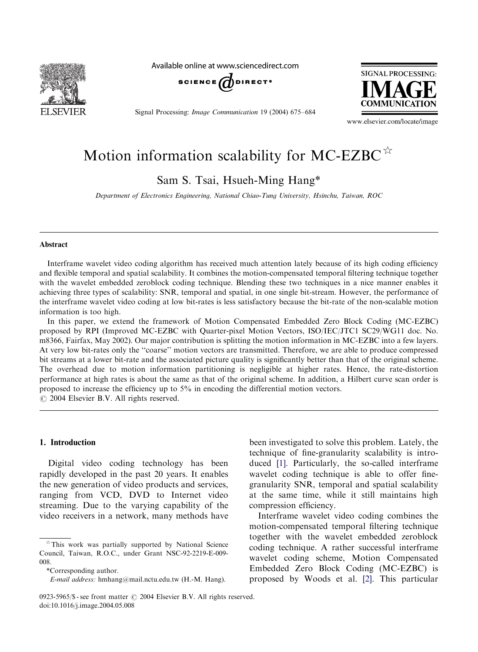

Available online at www.sciencedirect.com



Signal Processing: Image Communication 19 (2004) 675–684



www.elsevier.com/locate/image

# Motion information scalability for MC-EZBC $\mathbb{R}$

Sam S. Tsai, Hsueh-Ming Hang\*

Department of Electronics Engineering, National Chiao-Tung University, Hsinchu, Taiwan, ROC

#### Abstract

Interframe wavelet video coding algorithm has received much attention lately because of its high coding efficiency and flexible temporal and spatial scalability. It combines the motion-compensated temporal filtering technique together with the wavelet embedded zeroblock coding technique. Blending these two techniques in a nice manner enables it achieving three types of scalability: SNR, temporal and spatial, in one single bit-stream. However, the performance of the interframe wavelet video coding at low bit-rates is less satisfactory because the bit-rate of the non-scalable motion information is too high.

In this paper, we extend the framework of Motion Compensated Embedded Zero Block Coding (MC-EZBC) proposed by RPI (Improved MC-EZBC with Quarter-pixel Motion Vectors, ISO/IEC/JTC1 SC29/WG11 doc. No. m8366, Fairfax, May 2002). Our major contribution is splitting the motion information in MC-EZBC into a few layers. At very low bit-rates only the ''coarse'' motion vectors are transmitted. Therefore, we are able to produce compressed bit streams at a lower bit-rate and the associated picture quality is significantly better than that of the original scheme. The overhead due to motion information partitioning is negligible at higher rates. Hence, the rate-distortion performance at high rates is about the same as that of the original scheme. In addition, a Hilbert curve scan order is proposed to increase the efficiency up to 5% in encoding the differential motion vectors.  $O$  2004 Elsevier B.V. All rights reserved.

#### 1. Introduction

Digital video coding technology has been rapidly developed in the past 20 years. It enables the new generation of video products and services, ranging from VCD, DVD to Internet video streaming. Due to the varying capability of the video receivers in a network, many methods have

technique of fine-granularity scalability is introduced [\[1\]](#page-9-0). Particularly, the so-called interframe wavelet coding technique is able to offer finegranularity SNR, temporal and spatial scalability at the same time, while it still maintains high compression efficiency.

been investigated to solve this problem. Lately, the

Interframe wavelet video coding combines the motion-compensated temporal filtering technique together with the wavelet embedded zeroblock coding technique. A rather successful interframe wavelet coding scheme, Motion Compensated Embedded Zero Block Coding (MC-EZBC) is proposed by Woods et al. [\[2\].](#page-9-0) This particular

 $*$ This work was partially supported by National Science Council, Taiwan, R.O.C., under Grant NSC-92-2219-E-009- 008.

<sup>\*</sup>Corresponding author.

E-mail address: hmhang@mail.nctu.edu.tw (H.-M. Hang).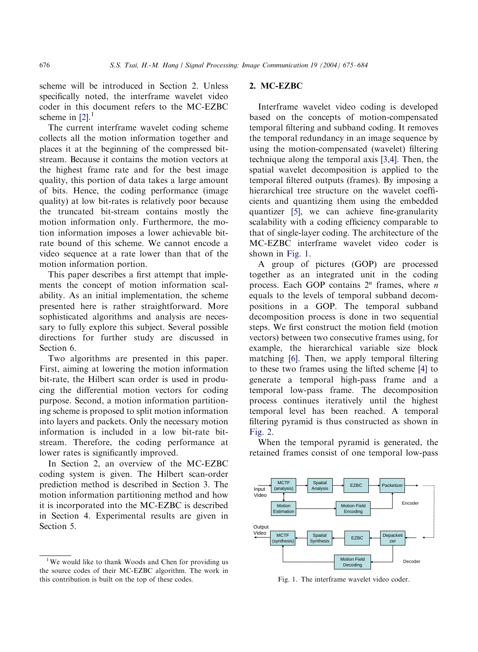scheme will be introduced in Section 2. Unless specifically noted, the interframe wavelet video coder in this document refers to the MC-EZBC scheme in  $[2]$ .<sup>1</sup>

The current interframe wavelet coding scheme collects all the motion information together and places it at the beginning of the compressed bitstream. Because it contains the motion vectors at the highest frame rate and for the best image quality, this portion of data takes a large amount of bits. Hence, the coding performance (image quality) at low bit-rates is relatively poor because the truncated bit-stream contains mostly the motion information only. Furthermore, the motion information imposes a lower achievable bitrate bound of this scheme. We cannot encode a video sequence at a rate lower than that of the motion information portion.

This paper describes a first attempt that implements the concept of motion information scalability. As an initial implementation, the scheme presented here is rather straightforward. More sophisticated algorithms and analysis are necessary to fully explore this subject. Several possible directions for further study are discussed in Section 6.

Two algorithms are presented in this paper. First, aiming at lowering the motion information bit-rate, the Hilbert scan order is used in producing the differential motion vectors for coding purpose. Second, a motion information partitioning scheme is proposed to split motion information into layers and packets. Only the necessary motion information is included in a low bit-rate bitstream. Therefore, the coding performance at lower rates is significantly improved.

In Section 2, an overview of the MC-EZBC coding system is given. The Hilbert scan-order prediction method is described in Section 3. The motion information partitioning method and how it is incorporated into the MC-EZBC is described in Section 4. Experimental results are given in Section 5.

## 2. MC-EZBC

Interframe wavelet video coding is developed based on the concepts of motion-compensated temporal filtering and subband coding. It removes the temporal redundancy in an image sequence by using the motion-compensated (wavelet) filtering technique along the temporal axis [\[3,4\].](#page-9-0) Then, the spatial wavelet decomposition is applied to the temporal filtered outputs (frames). By imposing a hierarchical tree structure on the wavelet coefficients and quantizing them using the embedded quantizer [\[5\]](#page-9-0), we can achieve fine-granularity scalability with a coding efficiency comparable to that of single-layer coding. The architecture of the MC-EZBC interframe wavelet video coder is shown in Fig. 1.

A group of pictures (GOP) are processed together as an integrated unit in the coding process. Each GOP contains  $2^n$  frames, where *n* equals to the levels of temporal subband decompositions in a GOP. The temporal subband decomposition process is done in two sequential steps. We first construct the motion field (motion vectors) between two consecutive frames using, for example, the hierarchical variable size block matching [\[6\]](#page-9-0). Then, we apply temporal filtering to these two frames using the lifted scheme [\[4\]](#page-9-0) to generate a temporal high-pass frame and a temporal low-pass frame. The decomposition process continues iteratively until the highest temporal level has been reached. A temporal filtering pyramid is thus constructed as shown in [Fig. 2](#page-2-0).

When the temporal pyramid is generated, the retained frames consist of one temporal low-pass



Fig. 1. The interframe wavelet video coder.

<sup>&</sup>lt;sup>1</sup>We would like to thank Woods and Chen for providing us the source codes of their MC-EZBC algorithm. The work in this contribution is built on the top of these codes.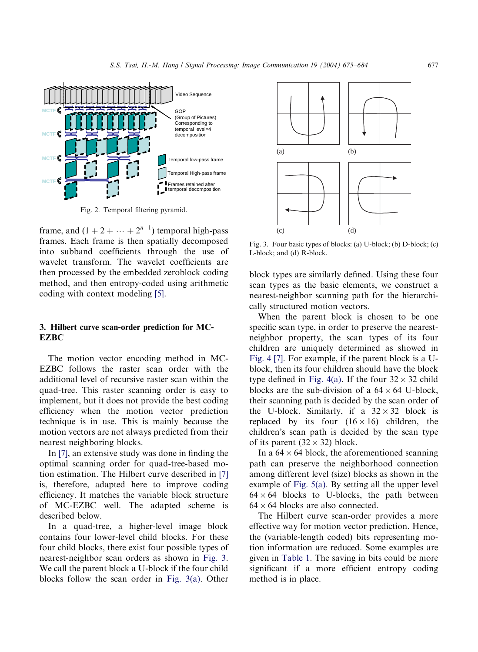<span id="page-2-0"></span>

Fig. 2. Temporal filtering pyramid.

frame, and  $(1 + 2 + \cdots + 2^{n-1})$  temporal high-pass frames. Each frame is then spatially decomposed into subband coefficients through the use of wavelet transform. The wavelet coefficients are then processed by the embedded zeroblock coding method, and then entropy-coded using arithmetic coding with context modeling [\[5\].](#page-9-0)

## 3. Hilbert curve scan-order prediction for MC-**EZBC**

The motion vector encoding method in MC-EZBC follows the raster scan order with the additional level of recursive raster scan within the quad-tree. This raster scanning order is easy to implement, but it does not provide the best coding efficiency when the motion vector prediction technique is in use. This is mainly because the motion vectors are not always predicted from their nearest neighboring blocks.

In [\[7\]](#page-9-0), an extensive study was done in finding the optimal scanning order for quad-tree-based motion estimation. The Hilbert curve described in [\[7\]](#page-9-0) is, therefore, adapted here to improve coding efficiency. It matches the variable block structure of MC-EZBC well. The adapted scheme is described below.

In a quad-tree, a higher-level image block contains four lower-level child blocks. For these four child blocks, there exist four possible types of nearest-neighbor scan orders as shown in Fig. 3. We call the parent block a U-block if the four child blocks follow the scan order in Fig. 3(a). Other



Fig. 3. Four basic types of blocks: (a) U-block; (b) D-block; (c) L-block; and (d) R-block.

block types are similarly defined. Using these four scan types as the basic elements, we construct a nearest-neighbor scanning path for the hierarchically structured motion vectors.

When the parent block is chosen to be one specific scan type, in order to preserve the nearestneighbor property, the scan types of its four children are uniquely determined as showed in [Fig. 4](#page-3-0) [\[7\]](#page-9-0). For example, if the parent block is a Ublock, then its four children should have the block type defined in [Fig. 4\(a\).](#page-3-0) If the four  $32 \times 32$  child blocks are the sub-division of a  $64 \times 64$  U-block, their scanning path is decided by the scan order of the U-block. Similarly, if a  $32 \times 32$  block is replaced by its four  $(16 \times 16)$  children, the children's scan path is decided by the scan type of its parent  $(32 \times 32)$  block.

In a  $64 \times 64$  block, the aforementioned scanning path can preserve the neighborhood connection among different level (size) blocks as shown in the example of [Fig. 5\(a\).](#page-3-0) By setting all the upper level  $64 \times 64$  blocks to U-blocks, the path between  $64 \times 64$  blocks are also connected.

The Hilbert curve scan-order provides a more effective way for motion vector prediction. Hence, the (variable-length coded) bits representing motion information are reduced. Some examples are given in [Table 1.](#page-3-0) The saving in bits could be more significant if a more efficient entropy coding method is in place.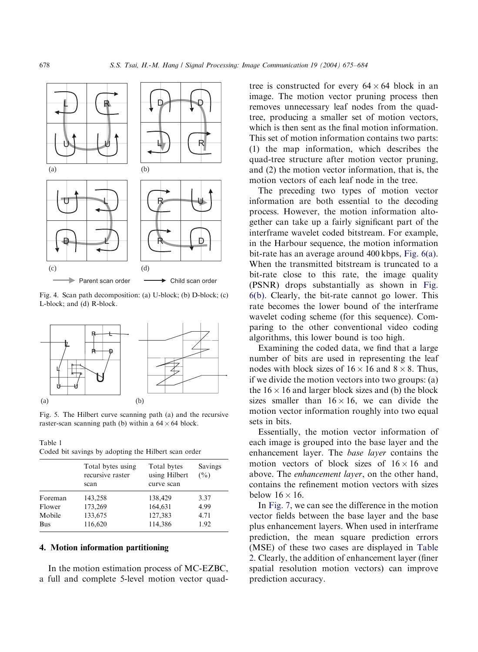<span id="page-3-0"></span>

Fig. 4. Scan path decomposition: (a) U-block; (b) D-block; (c) L-block; and (d) R-block.



Fig. 5. The Hilbert curve scanning path (a) and the recursive raster-scan scanning path (b) within a  $64 \times 64$  block.

Table 1 Coded bit savings by adopting the Hilbert scan order

|            | Total bytes using<br>recursive raster<br>scan | Total bytes<br>using Hilbert<br>curve scan | Savings<br>$($ %) |
|------------|-----------------------------------------------|--------------------------------------------|-------------------|
| Foreman    | 143,258                                       | 138,429                                    | 3.37              |
| Flower     | 173,269                                       | 164,631                                    | 4.99              |
| Mobile     | 133,675                                       | 127,383                                    | 4.71              |
| <b>Bus</b> | 116,620                                       | 114,386                                    | 1.92              |

## 4. Motion information partitioning

In the motion estimation process of MC-EZBC, a full and complete 5-level motion vector quad-

tree is constructed for every  $64 \times 64$  block in an image. The motion vector pruning process then removes unnecessary leaf nodes from the quadtree, producing a smaller set of motion vectors, which is then sent as the final motion information. This set of motion information contains two parts: (1) the map information, which describes the quad-tree structure after motion vector pruning, and (2) the motion vector information, that is, the motion vectors of each leaf node in the tree.

The preceding two types of motion vector information are both essential to the decoding process. However, the motion information altogether can take up a fairly significant part of the interframe wavelet coded bitstream. For example, in the Harbour sequence, the motion information bit-rate has an average around 400 kbps, [Fig. 6\(a\)](#page-4-0). When the transmitted bitstream is truncated to a bit-rate close to this rate, the image quality (PSNR) drops substantially as shown in [Fig.](#page-4-0) [6\(b\)](#page-4-0). Clearly, the bit-rate cannot go lower. This rate becomes the lower bound of the interframe wavelet coding scheme (for this sequence). Comparing to the other conventional video coding algorithms, this lower bound is too high.

Examining the coded data, we find that a large number of bits are used in representing the leaf nodes with block sizes of  $16 \times 16$  and  $8 \times 8$ . Thus, if we divide the motion vectors into two groups: (a) the  $16 \times 16$  and larger block sizes and (b) the block sizes smaller than  $16 \times 16$ , we can divide the motion vector information roughly into two equal sets in bits.

Essentially, the motion vector information of each image is grouped into the base layer and the enhancement layer. The base layer contains the motion vectors of block sizes of  $16 \times 16$  and above. The enhancement layer, on the other hand, contains the refinement motion vectors with sizes below  $16 \times 16$ .

In [Fig. 7](#page-4-0), we can see the difference in the motion vector fields between the base layer and the base plus enhancement layers. When used in interframe prediction, the mean square prediction errors (MSE) of these two cases are displayed in [Table](#page-4-0) [2.](#page-4-0) Clearly, the addition of enhancement layer (finer spatial resolution motion vectors) can improve prediction accuracy.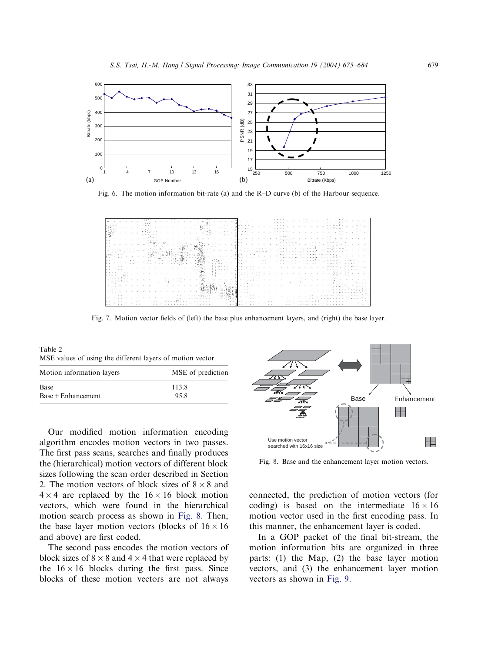<span id="page-4-0"></span>

Fig. 6. The motion information bit-rate (a) and the R–D curve (b) of the Harbour sequence.

|            |                          | dies automobile                                                                                  |                |             |
|------------|--------------------------|--------------------------------------------------------------------------------------------------|----------------|-------------|
|            |                          |                                                                                                  |                |             |
|            |                          | 不満 ママン エーション                                                                                     |                |             |
|            |                          | and the state of the state of                                                                    |                |             |
|            |                          |                                                                                                  |                |             |
|            |                          |                                                                                                  |                |             |
|            |                          | $\sum_{i=1}^{n} \lambda_i^2 \cdot \lambda_i^2 = \lambda_1^2 \cdot \lambda_2^2 \cdot \lambda_3^2$ |                |             |
|            |                          |                                                                                                  | . / .          |             |
|            |                          | <b>Michigan</b>                                                                                  |                | $4.1 - 4.1$ |
| . 195 peru | $\frac{17}{20}$ = $1.11$ |                                                                                                  |                |             |
|            |                          |                                                                                                  |                |             |
|            |                          |                                                                                                  |                |             |
|            |                          |                                                                                                  | <b>Barrier</b> |             |
|            |                          |                                                                                                  |                |             |
|            |                          |                                                                                                  |                |             |
|            |                          |                                                                                                  |                |             |
|            |                          |                                                                                                  |                |             |
|            |                          |                                                                                                  |                |             |
|            |                          | the commence of the                                                                              |                |             |
|            |                          |                                                                                                  |                |             |
|            |                          |                                                                                                  |                |             |

Fig. 7. Motion vector fields of (left) the base plus enhancement layers, and (right) the base layer.

Table 2 MSE values of using the different layers of motion vector

| MSE of prediction |  |  |
|-------------------|--|--|
| 113.8             |  |  |
| 95.8              |  |  |
|                   |  |  |

Our modified motion information encoding algorithm encodes motion vectors in two passes. The first pass scans, searches and finally produces the (hierarchical) motion vectors of different block sizes following the scan order described in Section 2. The motion vectors of block sizes of  $8 \times 8$  and  $4 \times 4$  are replaced by the  $16 \times 16$  block motion vectors, which were found in the hierarchical motion search process as shown in Fig. 8. Then, the base layer motion vectors (blocks of  $16 \times 16$ and above) are first coded.

The second pass encodes the motion vectors of block sizes of  $8 \times 8$  and  $4 \times 4$  that were replaced by the  $16 \times 16$  blocks during the first pass. Since blocks of these motion vectors are not always



Fig. 8. Base and the enhancement layer motion vectors.

connected, the prediction of motion vectors (for coding) is based on the intermediate  $16 \times 16$ motion vector used in the first encoding pass. In this manner, the enhancement layer is coded.

In a GOP packet of the final bit-stream, the motion information bits are organized in three parts: (1) the Map, (2) the base layer motion vectors, and (3) the enhancement layer motion vectors as shown in [Fig. 9](#page-5-0).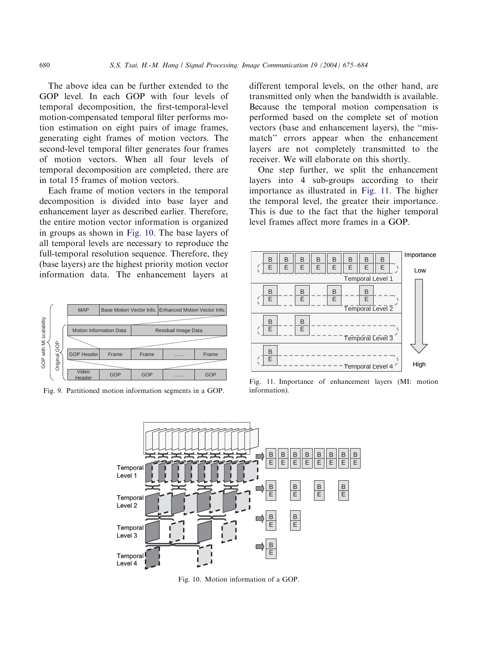The above idea can be further extended to the GOP level. In each GOP with four levels of temporal decomposition, the first-temporal-level motion-compensated temporal filter performs motion estimation on eight pairs of image frames, generating eight frames of motion vectors. The second-level temporal filter generates four frames of motion vectors. When all four levels of temporal decomposition are completed, there are in total 15 frames of motion vectors.

Each frame of motion vectors in the temporal decomposition is divided into base layer and enhancement layer as described earlier. Therefore, the entire motion vector information is organized in groups as shown in Fig. 10. The base layers of all temporal levels are necessary to reproduce the full-temporal resolution sequence. Therefore, they (base layers) are the highest priority motion vector information data. The enhancement layers at



Fig. 9. Partitioned motion information segments in a GOP.

different temporal levels, on the other hand, are transmitted only when the bandwidth is available. Because the temporal motion compensation is performed based on the complete set of motion vectors (base and enhancement layers), the ''mismatch'' errors appear when the enhancement layers are not completely transmitted to the receiver. We will elaborate on this shortly.

One step further, we split the enhancement layers into 4 sub-groups according to their importance as illustrated in Fig. 11. The higher the temporal level, the greater their importance. This is due to the fact that the higher temporal level frames affect more frames in a GOP.



Fig. 11. Importance of enhancement layers (MI: motion information).



Fig. 10. Motion information of a GOP.

<span id="page-5-0"></span>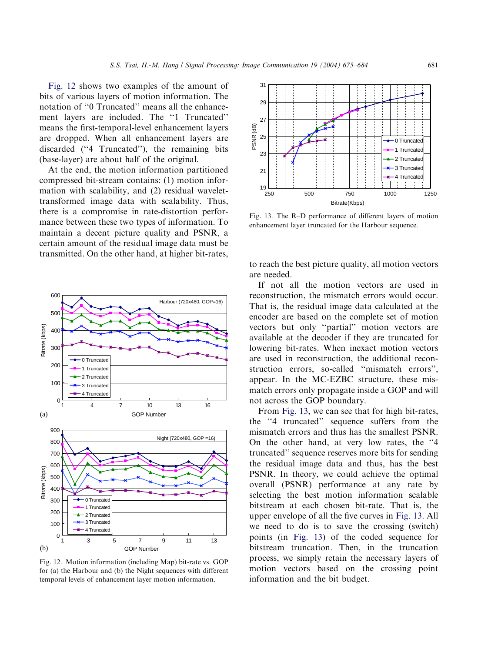<span id="page-6-0"></span>Fig. 12 shows two examples of the amount of bits of various layers of motion information. The notation of ''0 Truncated'' means all the enhancement layers are included. The ''1 Truncated'' means the first-temporal-level enhancement layers are dropped. When all enhancement layers are discarded (''4 Truncated''), the remaining bits (base-layer) are about half of the original.

At the end, the motion information partitioned compressed bit-stream contains: (1) motion information with scalability, and (2) residual wavelettransformed image data with scalability. Thus, there is a compromise in rate-distortion performance between these two types of information. To maintain a decent picture quality and PSNR, a certain amount of the residual image data must be transmitted. On the other hand, at higher bit-rates,



Fig. 12. Motion information (including Map) bit-rate vs. GOP for (a) the Harbour and (b) the Night sequences with different temporal levels of enhancement layer motion information.



Fig. 13. The R–D performance of different layers of motion enhancement layer truncated for the Harbour sequence.

to reach the best picture quality, all motion vectors are needed.

If not all the motion vectors are used in reconstruction, the mismatch errors would occur. That is, the residual image data calculated at the encoder are based on the complete set of motion vectors but only ''partial'' motion vectors are available at the decoder if they are truncated for lowering bit-rates. When inexact motion vectors are used in reconstruction, the additional reconstruction errors, so-called ''mismatch errors'', appear. In the MC-EZBC structure, these mismatch errors only propagate inside a GOP and will not across the GOP boundary.

From Fig. 13, we can see that for high bit-rates, the ''4 truncated'' sequence suffers from the mismatch errors and thus has the smallest PSNR. On the other hand, at very low rates, the ''4 truncated'' sequence reserves more bits for sending the residual image data and thus, has the best PSNR. In theory, we could achieve the optimal overall (PSNR) performance at any rate by selecting the best motion information scalable bitstream at each chosen bit-rate. That is, the upper envelope of all the five curves in Fig. 13. All we need to do is to save the crossing (switch) points (in Fig. 13) of the coded sequence for bitstream truncation. Then, in the truncation process, we simply retain the necessary layers of motion vectors based on the crossing point information and the bit budget.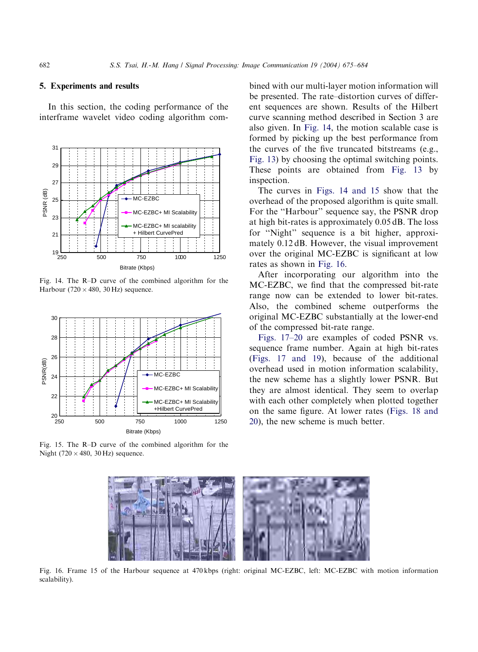### 5. Experiments and results

In this section, the coding performance of the interframe wavelet video coding algorithm com-



Fig. 14. The R–D curve of the combined algorithm for the Harbour (720  $\times$  480, 30 Hz) sequence.



Fig. 15. The R–D curve of the combined algorithm for the Night (720  $\times$  480, 30 Hz) sequence.

bined with our multi-layer motion information will be presented. The rate–distortion curves of different sequences are shown. Results of the Hilbert curve scanning method described in Section 3 are also given. In Fig. 14, the motion scalable case is formed by picking up the best performance from the curves of the five truncated bitstreams (e.g., [Fig. 13\)](#page-6-0) by choosing the optimal switching points. These points are obtained from [Fig. 13](#page-6-0) by inspection.

The curves in Figs. 14 and 15 show that the overhead of the proposed algorithm is quite small. For the "Harbour" sequence say, the PSNR drop at high bit-rates is approximately 0.05 dB. The loss for ''Night'' sequence is a bit higher, approximately 0.12 dB. However, the visual improvement over the original MC-EZBC is significant at low rates as shown in Fig. 16.

After incorporating our algorithm into the MC-EZBC, we find that the compressed bit-rate range now can be extended to lower bit-rates. Also, the combined scheme outperforms the original MC-EZBC substantially at the lower-end of the compressed bit-rate range.

[Figs. 17–20](#page-8-0) are examples of coded PSNR vs. sequence frame number. Again at high bit-rates [\(Figs. 17 and 19\)](#page-8-0), because of the additional overhead used in motion information scalability, the new scheme has a slightly lower PSNR. But they are almost identical. They seem to overlap with each other completely when plotted together on the same figure. At lower rates ([Figs. 18 and](#page-8-0) [20\)](#page-8-0), the new scheme is much better.



Fig. 16. Frame 15 of the Harbour sequence at 470 kbps (right: original MC-EZBC, left: MC-EZBC with motion information scalability).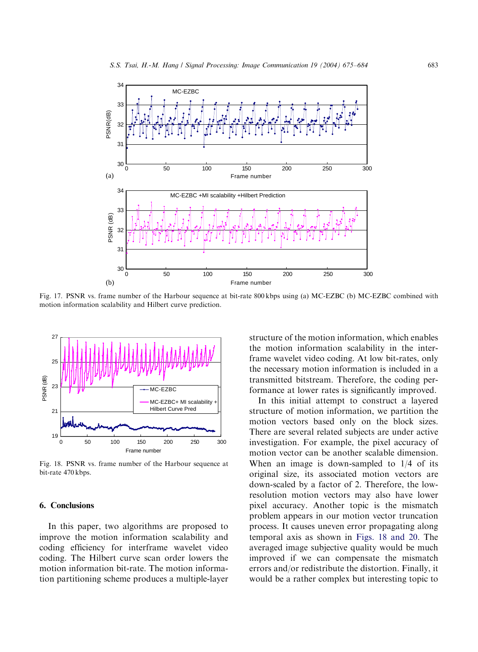<span id="page-8-0"></span>

Fig. 17. PSNR vs. frame number of the Harbour sequence at bit-rate 800 kbps using (a) MC-EZBC (b) MC-EZBC combined with motion information scalability and Hilbert curve prediction.



Fig. 18. PSNR vs. frame number of the Harbour sequence at bit-rate 470 kbps.

### 6. Conclusions

In this paper, two algorithms are proposed to improve the motion information scalability and coding efficiency for interframe wavelet video coding. The Hilbert curve scan order lowers the motion information bit-rate. The motion information partitioning scheme produces a multiple-layer

structure of the motion information, which enables the motion information scalability in the interframe wavelet video coding. At low bit-rates, only the necessary motion information is included in a transmitted bitstream. Therefore, the coding performance at lower rates is significantly improved.

In this initial attempt to construct a layered structure of motion information, we partition the motion vectors based only on the block sizes. There are several related subjects are under active investigation. For example, the pixel accuracy of motion vector can be another scalable dimension. When an image is down-sampled to  $1/4$  of its original size, its associated motion vectors are down-scaled by a factor of 2. Therefore, the lowresolution motion vectors may also have lower pixel accuracy. Another topic is the mismatch problem appears in our motion vector truncation process. It causes uneven error propagating along temporal axis as shown in Figs. 18 and 20. The averaged image subjective quality would be much improved if we can compensate the mismatch errors and/or redistribute the distortion. Finally, it would be a rather complex but interesting topic to